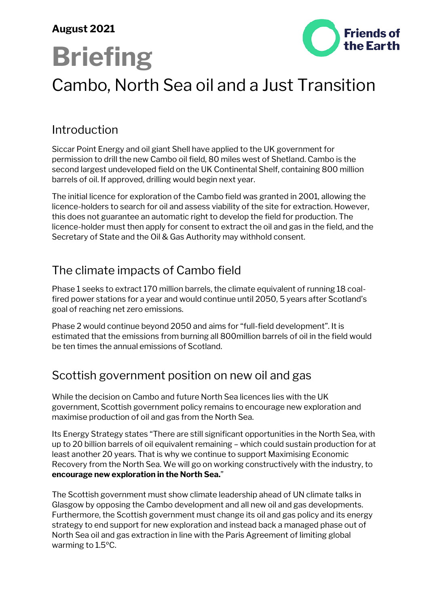#### **August 2021**



# **Briefing**

# Cambo, North Sea oil and a Just Transition

# Introduction

Siccar Point Energy and oil giant Shell have applied to the UK government for permission to drill the new Cambo oil field, 80 miles west of Shetland. Cambo is the second largest undeveloped field on the UK Continental Shelf, containing 800 million barrels of oil. If approved, drilling would begin next year.

The initial licence for exploration of the Cambo field was granted in 2001, allowing the licence-holders to search for oil and assess viability of the site for extraction. However, this does not guarantee an automatic right to develop the field for production. The licence-holder must then apply for consent to extract the oil and gas in the field, and the Secretary of State and the Oil & Gas Authority may withhold consent.

### The climate impacts of Cambo field

Phase 1 seeks to extract 170 million barrels, the climate equivalent of running 18 coalfired power stations for a year and would continue until 2050, 5 years after Scotland's goal of reaching net zero emissions.

Phase 2 would continue beyond 2050 and aims for "full-field development". It is estimated that the emissions from burning all 800million barrels of oil in the field would be ten times the annual emissions of Scotland.

#### Scottish government position on new oil and gas

While the decision on Cambo and future North Sea licences lies with the UK government, Scottish government policy remains to encourage new exploration and maximise production of oil and gas from the North Sea.

Its Energy Strategy states "There are still significant opportunities in the North Sea, with up to 20 billion barrels of oil equivalent remaining – which could sustain production for at least another 20 years. That is why we continue to support Maximising Economic Recovery from the North Sea. We will go on working constructively with the industry, to **encourage new exploration in the North Sea.**"

The Scottish government must show climate leadership ahead of UN climate talks in Glasgow by opposing the Cambo development and all new oil and gas developments. Furthermore, the Scottish government must change its oil and gas policy and its energy strategy to end support for new exploration and instead back a managed phase out of North Sea oil and gas extraction in line with the Paris Agreement of limiting global warming to 1.5ºC.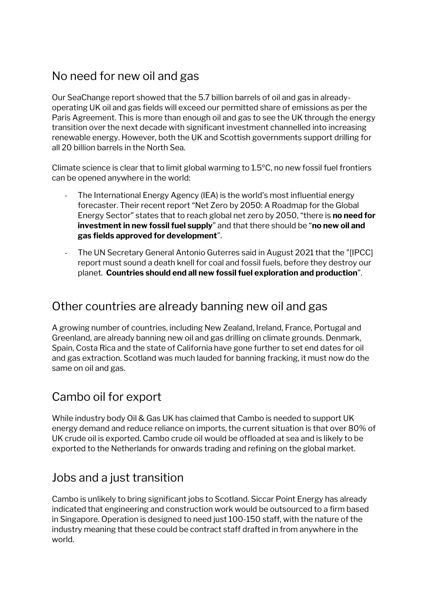# No need for new oil and gas

Our SeaChange report showed that the 5.7 billion barrels of oil and gas in alreadyoperating UK oil and gas fields will exceed our permitted share of emissions as per the Paris Agreement. This is more than enough oil and gas to see the UK through the energy transition over the next decade with significant investment channelled into increasing renewable energy. However, both the UK and Scottish governments support drilling for all 20 billion barrels in the North Sea.

Climate science is clear that to limit global warming to 1.5ºC, no new fossil fuel frontiers can be opened anywhere in the world:

- The International Energy Agency (IEA) is the world's most influential energy forecaster. Their recent report "Net Zero by 2050: A Roadmap for the Global Energy Sector" states that to reach global net zero by 2050, "there is **no need for investment in new fossil fuel supply**" and that there should be "**no new oil and gas fields approved for development**".
- The UN Secretary General Antonio Guterres said in August 2021 that the "[IPCC] report must sound a death knell for coal and fossil fuels, before they destroy our planet. **Countries should end all new fossil fuel exploration and production**".

#### Other countries are already banning new oil and gas

A growing number of countries, including New Zealand, Ireland, France, Portugal and Greenland, are already banning new oil and gas drilling on climate grounds. Denmark, Spain, Costa Rica and the state of California have gone further to set end dates for oil and gas extraction. Scotland was much lauded for banning fracking, it must now do the same on oil and gas.

# Cambo oil for export

While industry body Oil & Gas UK has claimed that Cambo is needed to support UK energy demand and reduce reliance on imports, the current situation is that over 80% of UK crude oil is exported. Cambo crude oil would be offloaded at sea and is likely to be exported to the Netherlands for onwards trading and refining on the global market.

# Jobs and a just transition

Cambo is unlikely to bring significant jobs to Scotland. Siccar Point Energy has already indicated that engineering and construction work would be outsourced to a firm based in Singapore. Operation is designed to need just 100-150 staff, with the nature of the industry meaning that these could be contract staff drafted in from anywhere in the world.